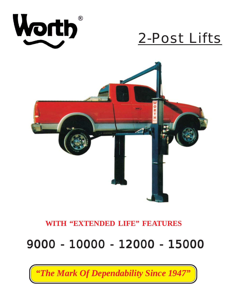

# 2-Post Lifts



### **WITH "EXTENDED LIFE" FEATURES**

# 9000 - 10000 - 12000 - 15000 9000 - 10000 - 12000 - 15000

*"The Mark Of Dependability Since 1947"*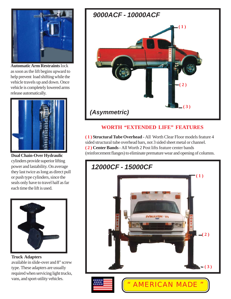

**Automatic Arm Restraints** lock as soon as the lift begins upward to help prevent load shifting while the vehicle travels up and down. Once vehicle is completely lowered arms release automatically.



**Dual Chain-Over Hydraulic** cylinders provide superior lifting power and lastability. On average they last twice as long as direct pull or push type cylinders, since the seals only have to travel half as far each time the lift is used.



**Truck Adapters** available in slide-over and 8" screw type. These adapters are usually required when servicing light trucks, vans, and sport-utility vehicles.



#### **WORTH "EXTENDED LIFE" FEATURES**

**( 1 ) Structural Tube Overhead -** All Worth Clear Floor models feature 4 sided structural tube overhead bars, not 3 sided sheet metal or channel. **( 2 ) Center Bands-** All Worth 2 Post lifts feature center bands (reinforcement flanges) to eliminate premature wear and opening of columns.

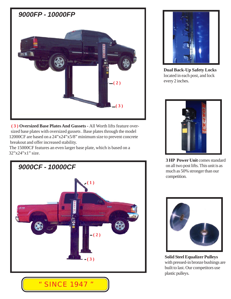

 **( 3 ) Oversized Base Plates And Gussets -** All Worth lifts feature over sized base plates with oversized gussets . Base plates through the model 12000CF are based on a 24"x24"x5/8" minimum size to prevent concrete breakout and offer increased stability.

 The 15000CF features an even larger base plate, which is based on a 32"x24"x1" size.





**Dual Back-Up Safety Locks** located in each post, and lock every 2 inches.



**3 HP Power Unit comes standard** on all two post lifts. This unit is as much as 50% stronger than our competition.



**Solid Steel Equalizer Pulleys** with pressed-in bronze bushings are built to last. Our competitors use plastic pulleys.

### " SINCE 1947 "